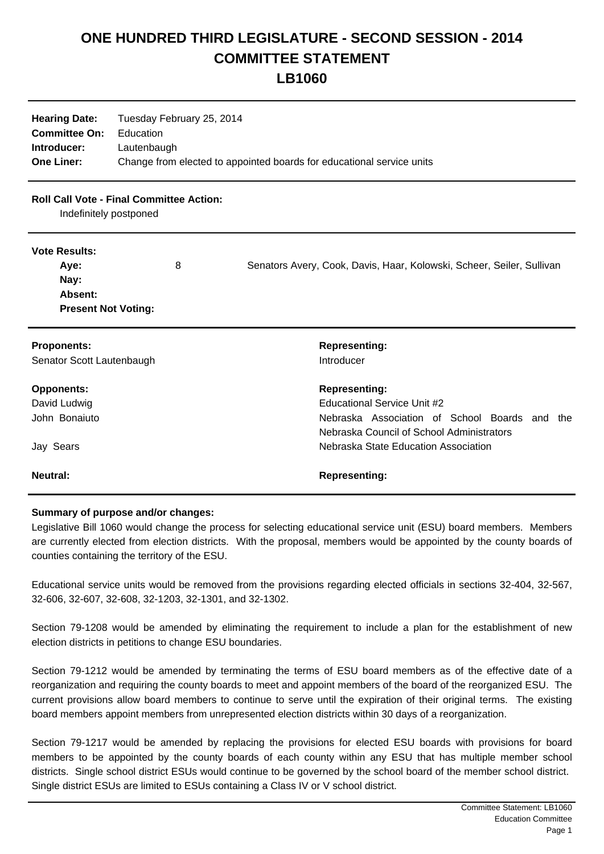## **ONE HUNDRED THIRD LEGISLATURE - SECOND SESSION - 2014 COMMITTEE STATEMENT**

**LB1060**

| <b>Hearing Date:</b> | Tuesday February 25, 2014                                             |
|----------------------|-----------------------------------------------------------------------|
| <b>Committee On:</b> | Education                                                             |
| Introducer:          | Lautenbaugh                                                           |
| <b>One Liner:</b>    | Change from elected to appointed boards for educational service units |

## **Roll Call Vote - Final Committee Action:**

Indefinitely postponed

## **Vote Results:**

| Ave:                       | 8 | Senators Avery, Cook, Davis, Haar, Kolowski, Scheer, Seiler, Sullivan |
|----------------------------|---|-----------------------------------------------------------------------|
| Nay:                       |   |                                                                       |
| Absent:                    |   |                                                                       |
| <b>Present Not Voting:</b> |   |                                                                       |

| <b>Proponents:</b><br>Senator Scott Lautenbaugh | <b>Representing:</b><br>Introducer            |
|-------------------------------------------------|-----------------------------------------------|
| <b>Opponents:</b>                               | <b>Representing:</b>                          |
| David Ludwig                                    | Educational Service Unit #2                   |
| John Bonaiuto                                   | Nebraska Association of School Boards and the |
|                                                 | Nebraska Council of School Administrators     |
| Jay Sears                                       | Nebraska State Education Association          |
| Neutral:                                        | <b>Representing:</b>                          |

## **Summary of purpose and/or changes:**

Legislative Bill 1060 would change the process for selecting educational service unit (ESU) board members. Members are currently elected from election districts. With the proposal, members would be appointed by the county boards of counties containing the territory of the ESU.

Educational service units would be removed from the provisions regarding elected officials in sections 32-404, 32-567, 32-606, 32-607, 32-608, 32-1203, 32-1301, and 32-1302.

Section 79-1208 would be amended by eliminating the requirement to include a plan for the establishment of new election districts in petitions to change ESU boundaries.

Section 79-1212 would be amended by terminating the terms of ESU board members as of the effective date of a reorganization and requiring the county boards to meet and appoint members of the board of the reorganized ESU. The current provisions allow board members to continue to serve until the expiration of their original terms. The existing board members appoint members from unrepresented election districts within 30 days of a reorganization.

Section 79-1217 would be amended by replacing the provisions for elected ESU boards with provisions for board members to be appointed by the county boards of each county within any ESU that has multiple member school districts. Single school district ESUs would continue to be governed by the school board of the member school district. Single district ESUs are limited to ESUs containing a Class IV or V school district.